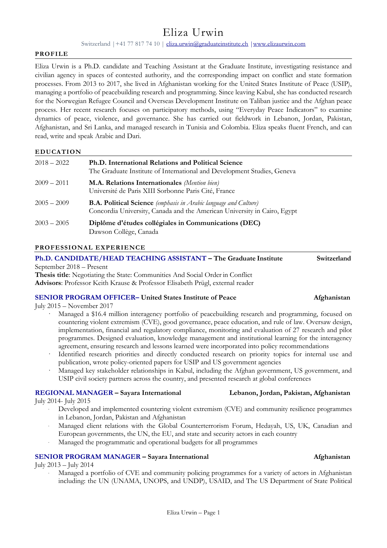# Eliza Urwin

Switzerland | +41 77 817 74 10 [| eliza.urwin@graduateinstitute.ch](mailto:eliza.urwin@graduateinstitute.ch) | www.elizaurwin.com

#### **PROFILE**

Eliza Urwin is a Ph.D. candidate and Teaching Assistant at the Graduate Institute, investigating resistance and civilian agency in spaces of contested authority, and the corresponding impact on conflict and state formation processes. From 2013 to 2017, she lived in Afghanistan working for the United States Institute of Peace (USIP), managing a portfolio of peacebuilding research and programming. Since leaving Kabul, she has conducted research for the Norwegian Refugee Council and Overseas Development Institute on Taliban justice and the Afghan peace process. Her recent research focuses on participatory methods, using "Everyday Peace Indicators" to examine dynamics of peace, violence, and governance. She has carried out fieldwork in Lebanon, Jordan, Pakistan, Afghanistan, and Sri Lanka, and managed research in Tunisia and Colombia. Eliza speaks fluent French, and can read, write and speak Arabic and Dari.

#### **EDUCATION**

| $2018 - 2022$ | <b>Ph.D.</b> International Relations and Political Science<br>The Graduate Institute of International and Development Studies, Geneva               |
|---------------|-----------------------------------------------------------------------------------------------------------------------------------------------------|
| $2009 - 2011$ | <b>M.A. Relations Internationales</b> (Mention bien)<br>Université de Paris XIII Sorbonne Paris Cité, France                                        |
| $2005 - 2009$ | <b>B.A. Political Science</b> (emphasis in Arabic language and Culture)<br>Concordia University, Canada and the American University in Cairo, Egypt |
| $2003 - 2005$ | Diplôme d'études collégiales in Communications (DEC)<br>Dawson Collège, Canada                                                                      |

#### **PROFESSIONAL EXPERIENCE**

**Ph.D. CANDIDATE/HEAD TEACHING ASSISTANT – The Graduate Institute Switzerland**  September 2018 – Present

**Thesis title**: Negotiating the State: Communities And Social Order in Conflict **Advisors**: Professor Keith Krause & Professor Elisabeth Prügl, external reader

#### **SENIOR PROGRAM OFFICER– United States Institute of Peace Afghanistan**

July 2015 – November 2017

- Managed a \$16.4 million interagency portfolio of peacebuilding research and programming, focused on countering violent extremism (CVE), good governance, peace education, and rule of law. Oversaw design, implementation, financial and regulatory compliance, monitoring and evaluation of 27 research and pilot programmes. Designed evaluation, knowledge management and institutional learning for the interagency agreement, ensuring research and lessons learned were incorporated into policy recommendations
- Identified research priorities and directly conducted research on priority topics for internal use and publication, wrote policy-oriented papers for USIP and US government agencies
- · Managed key stakeholder relationships in Kabul, including the Afghan government, US government, and USIP civil society partners across the country, and presented research at global conferences

## **REGIONAL MANAGER – Sayara International Lebanon, Jordan, Pakistan, Afghanistan**

July 2014- July 2015

- Developed and implemented countering violent extremism (CVE) and community resilience programmes in Lebanon, Jordan, Pakistan and Afghanistan
- · Managed client relations with the Global Counterterrorism Forum, Hedayah, US, UK, Canadian and European governments, the UN, the EU, and state and security actors in each country
- Managed the programmatic and operational budgets for all programmes

# **SENIOR PROGRAM MANAGER – Sayara International Afghanistan Afghanistan Afghanistan**

# July 2013 – July 2014

Managed a portfolio of CVE and community policing programmes for a variety of actors in Afghanistan including: the UN (UNAMA, UNOPS, and UNDP), USAID, and The US Department of State Political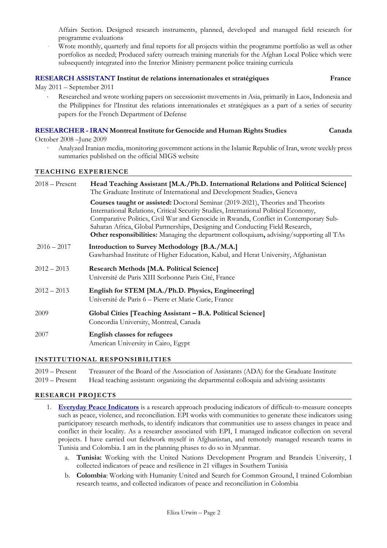Affairs Section. Designed research instruments, planned, developed and managed field research for programme evaluations

Wrote monthly, quarterly and final reports for all projects within the programme portfolio as well as other portfolios as needed; Produced safety outreach training materials for the Afghan Local Police which were subsequently integrated into the Interior Ministry permanent police training curricula

#### **RESEARCH ASSISTANT Institut de relations internationales et stratégiques France**

May 2011 – September 2011

 Researched and wrote working papers on secessionist movements in Asia, primarily in Laos, Indonesia and the Philippines for l'Institut des relations internationales et stratégiques as a part of a series of security papers for the French Department of Defense

#### **RESEARCHER - IRAN Montreal Institute for Genocide and Human Rights Studies Canada**

October 2008 –June 2009

· Analyzed Iranian media, monitoring government actions in the Islamic Republic of Iran, wrote weekly press summaries published on the official MIGS website

#### **TEACHING EXPERIENCE**

| $2018 -$ Present | Head Teaching Assistant [M.A./Ph.D. International Relations and Political Science]<br>The Graduate Institute of International and Development Studies, Geneva                                                                                                                                                                                                                                                                                 |  |  |  |
|------------------|-----------------------------------------------------------------------------------------------------------------------------------------------------------------------------------------------------------------------------------------------------------------------------------------------------------------------------------------------------------------------------------------------------------------------------------------------|--|--|--|
|                  | Courses taught or assisted: Doctoral Seminar (2019-2021), Theories and Theorists<br>International Relations, Critical Security Studies, International Political Economy,<br>Comparative Politics, Civil War and Genocide in Rwanda, Conflict in Contemporary Sub-<br>Saharan Africa, Global Partnerships, Designing and Conducting Field Research,<br>Other responsibilities: Managing the department colloquium, advising/supporting all TAs |  |  |  |
| $2016 - 2017$    | Introduction to Survey Methodology [B.A./M.A.]<br>Gawharshad Institute of Higher Education, Kabul, and Herat University, Afghanistan                                                                                                                                                                                                                                                                                                          |  |  |  |
| $2012 - 2013$    | <b>Research Methods [M.A. Political Science]</b><br>Université de Paris XIII Sorbonne Paris Cité, France                                                                                                                                                                                                                                                                                                                                      |  |  |  |
| $2012 - 2013$    | English for STEM [M.A./Ph.D. Physics, Engineering]<br>Université de Paris 6 - Pierre et Marie Curie, France                                                                                                                                                                                                                                                                                                                                   |  |  |  |
| 2009             | Global Cities [Teaching Assistant – B.A. Political Science]<br>Concordia University, Montreal, Canada                                                                                                                                                                                                                                                                                                                                         |  |  |  |
| 2007             | <b>English classes for refugees</b><br>American University in Cairo, Egypt                                                                                                                                                                                                                                                                                                                                                                    |  |  |  |

### **INSTITUTIONAL RESPONSIBILITIES**

2019 – Present Treasurer of the Board of the Association of Assistants (ADA) for the Graduate Institute 2019 – Present Head teaching assistant: organizing the departmental colloquia and advising assistants

#### **RESEARCH PROJECTS**

- 1. **[Everyday Peace Indicators](https://everydaypeaceindicators.org/)** is a research approach producing indicators of difficult-to-measure concepts such as peace, violence, and reconciliation. EPI works with communities to generate these indicators using participatory research methods, to identify indicators that communities use to assess changes in peace and conflict in their locality. As a researcher associated with EPI, I managed indicator collection on several projects. I have carried out fieldwork myself in Afghanistan, and remotely managed research teams in Tunisia and Colombia. I am in the planning phases to do so in Myanmar.
	- a. **Tunisia:** Working with the United Nations Development Program and Brandeis University, I collected indicators of peace and resilience in 21 villages in Southern Tunisia
	- b. **Colombia**: Working with Humanity United and Search for Common Ground, I trained Colombian research teams, and collected indicators of peace and reconciliation in Colombia